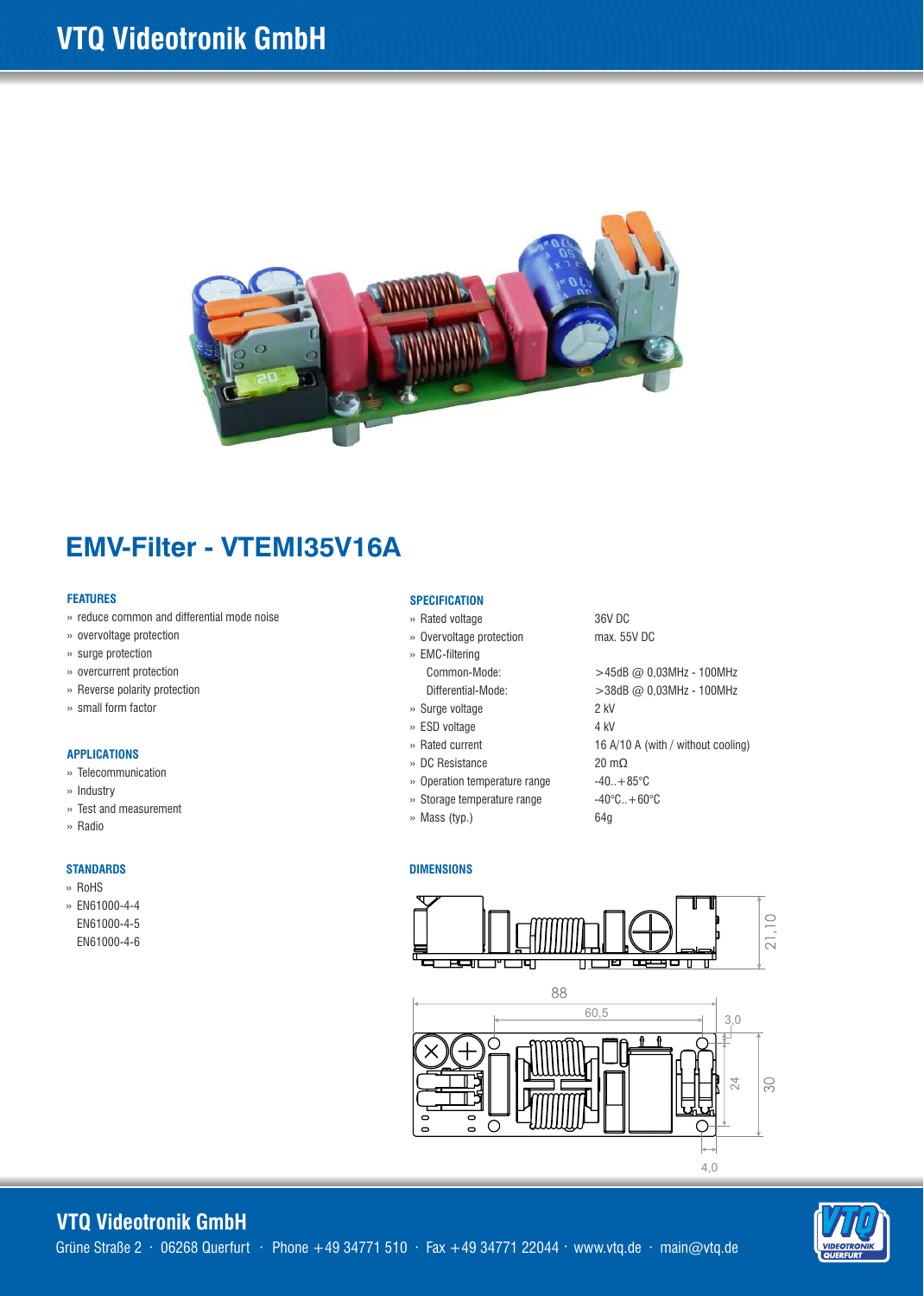

## **EMV-Filter - VTEMI35V16A**

#### **FEATURES**

- » reduce common and differential mode noise
- » overvoltage protection
- » surge protection
- » overcurrent protection
- » Reverse polarity protection
- » small form factor

#### **APPLICATIONS**

- » Telecommunication
- » Industry
- » Test and measurement
- » Radio

#### **STANDARDS**

- » RoHS
- » EN61000-4-4 EN61000-4-5 EN61000-4-6

#### **SPECIFICATION**

- » Rated voltage
- » Overvoltage protection » EMC-filtering
	- Common-Mode: Differential-Mode:
- » Surge voltage
- » ESD voltage
- » Rated current
- » DC Resistance
- » Operation temperature range
- » Storage temperature range
- » Mass (typ.)

36V DC max. 55V DC

>45dB @ 0,03MHz - 100MHz >38dB @ 0,03MHz - 100MHz 2 kV 4 kV 16 A/10 A (with / without cooling) 20 mΩ  $-40.+85^{\circ}C$  $-40^{\circ}$ C.. $+60^{\circ}$ C 64g

4,0

#### **DIMENSIONS**



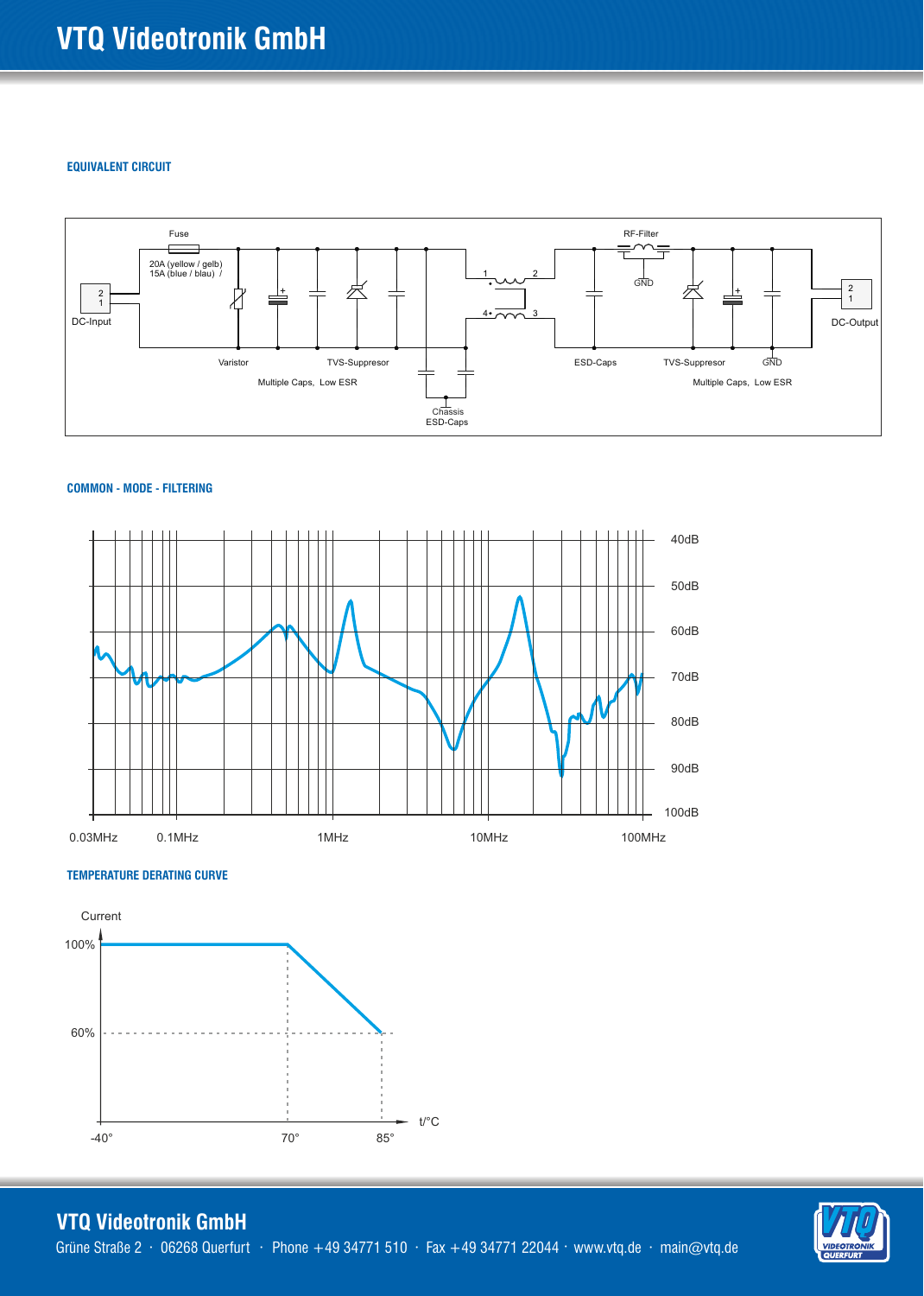#### **EQUIVALENT CIRCUIT**



#### **COMMON - MODE - FILTERING**



#### **TEMPERATURE DERATING CURVE**



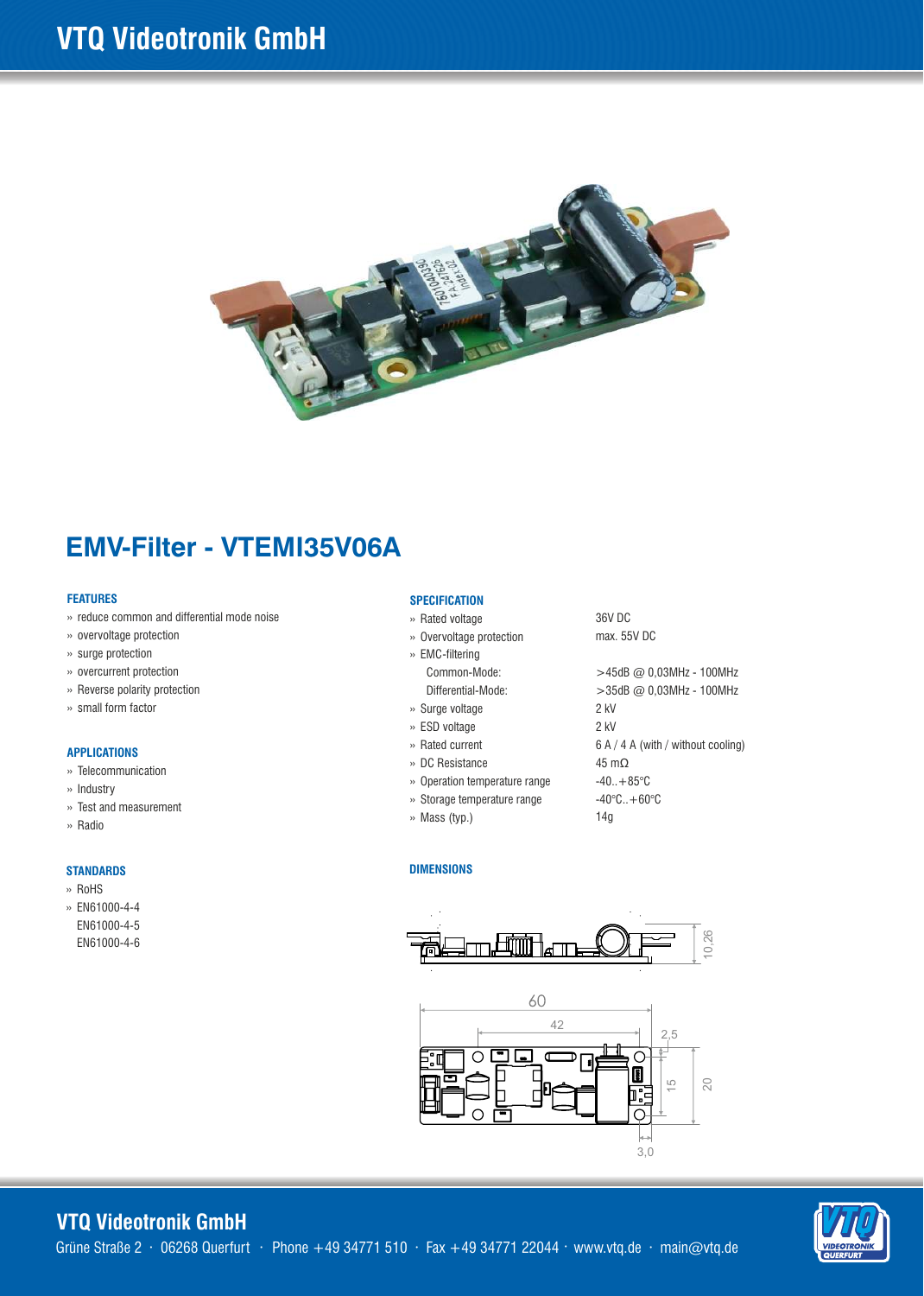

# **EMV-Filter - VTEMI35V06A**

#### **FEATURES**

- » reduce common and differential mode noise
- » overvoltage protection
- » surge protection
- » overcurrent protection
- » Reverse polarity protection
- » small form factor

#### **APPLICATIONS**

- » Telecommunication
- » Industry
- » Test and measurement
- » Radio

#### **STANDARDS**

- » RoHS
- » EN61000-4-4 EN61000-4-5 EN61000-4-6

#### **SPECIFICATION**

- » Rated voltage
- » Overvoltage protection » EMC-filtering
	- Common-Mode: Differential-Mode:
- » Surge voltage
- » ESD voltage
- » Rated current
- » DC Resistance
- » Operation temperature range
- » Storage temperature range
- » Mass (typ.)

36V DC max. 55V DC

>45dB @ 0,03MHz - 100MHz >35dB @ 0,03MHz - 100MHz 2 kV 2 kV 6 A / 4 A (with / without cooling) 45 mΩ  $-40.+85^{\circ}C$  $-40^{\circ}$ C.. $+60^{\circ}$ C 14g

#### **DIMENSIONS**





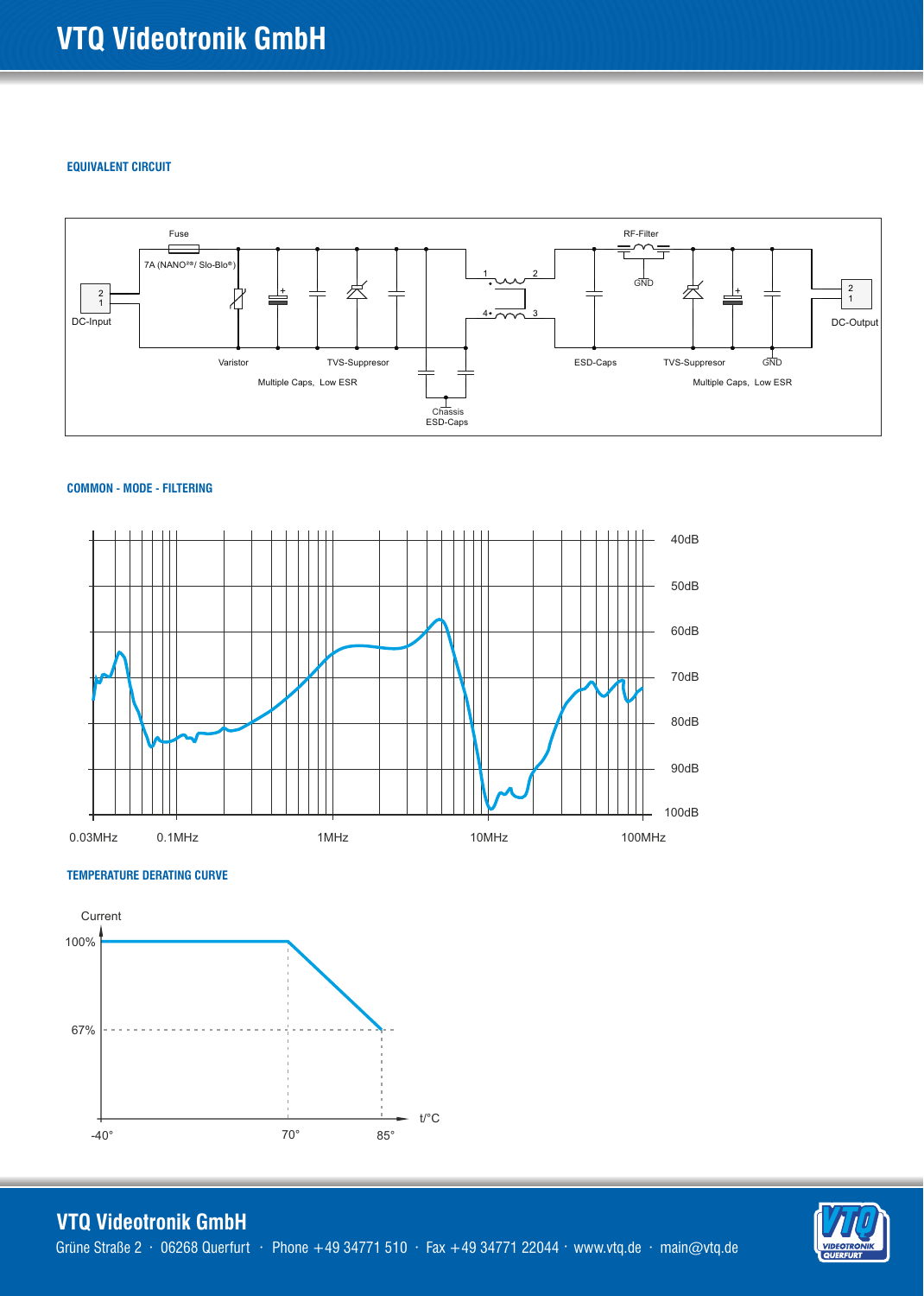#### **EQUIVALENT CIRCUIT**



#### **COMMON - MODE - FILTERING**



### **TEMPERATURE DERATING CURVE**